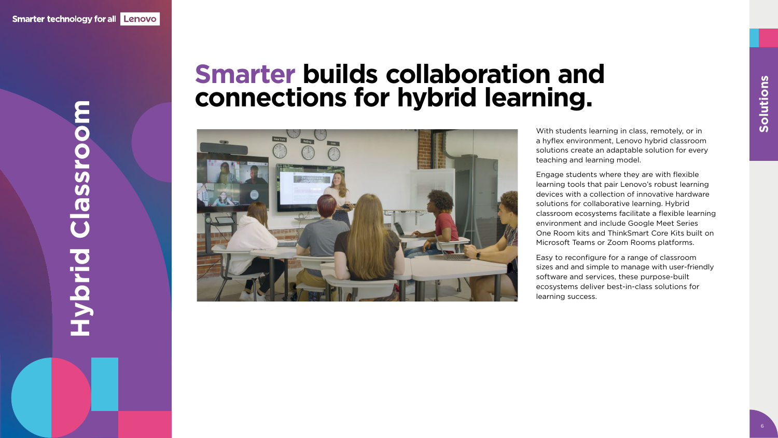

### **Hybrid Classroom**  $\bullet$ ONSSE  $\bullet$ ENDE

6

With students learning in class, remotely, or in a hyflex environment, Lenovo hybrid classroom solutions create an adaptable solution for every teaching and learning model.

Engage students where they are with flexible learning tools that pair Lenovo's robust learning devices with a collection of innovative hardware solutions for collaborative learning. Hybrid classroom ecosystems facilitate a flexible learning environment and include Google Meet Series One Room kits and ThinkSmart Core Kits built on Microsoft Teams or Zoom Rooms platforms.

Easy to reconfigure for a range of classroom sizes and and simple to manage with user-friendly software and services, these purpose-built ecosystems deliver best-in-class solutions for learning success.

#### **Smarter builds collaboration and connections for hybrid learning.**

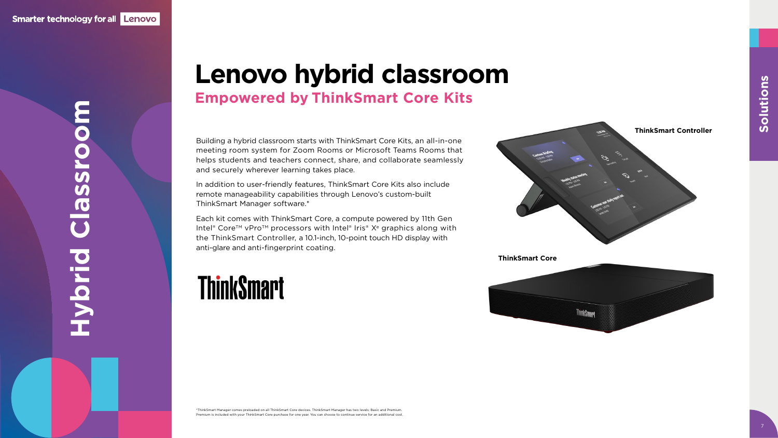Building a hybrid classroom starts with ThinkSmart Core Kits, an all-in-one meeting room system for Zoom Rooms or Microsoft Teams Rooms that helps students and teachers connect, share, and collaborate seamlessly and securely wherever learning takes place.

In addition to user-friendly features, ThinkSmart Core Kits also include remote manageability capabilities through Lenovo's custom-built ThinkSmart Manager software.\*

# **Hybrid Classroom** OSSFO **PIPIPE**

Each kit comes with ThinkSmart Core, a compute powered by 11th Gen Intel® Core<sup>™</sup> vPro<sup>™</sup> processors with Intel® Iris® X<sup>e</sup> graphics along with the ThinkSmart Controller, a 10.1-inch, 10-point touch HD display with anti-glare and anti-fingerprint coating.

#### **ThinkSmart**

\*ThinkSmart Manager comes preloaded on all ThinkSmart Core devices. ThinkSmart Manager has two levels: Basic and Premium. Premium is included with your ThinkSmart Core purchase for one year. You can choose to continue service for an additional cost.

#### **Lenovo hybrid classroom Empowered by ThinkSmart Core Kits**



7